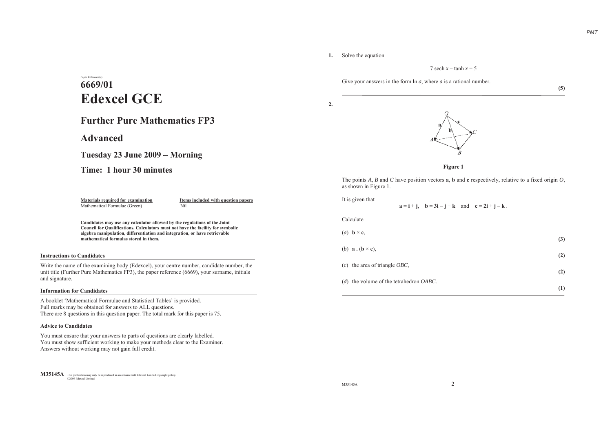**(5)**

### **1.** Solve the equation

7 sech *x* – tanh *<sup>x</sup>* = 5

Give your answers in the form  $\ln a$ , where *a* is a rational number.

**2.**





The points *A*, *B* and *C* have position vectors **<sup>a</sup>**, **b** and **<sup>c</sup>** respectively, relative to a fixed origin *O*, as shown in Figure 1.

| It is given that                                       | $a = i + j$ , $b = 3i - j + k$ and $c = 2i + j - k$ . |     |
|--------------------------------------------------------|-------------------------------------------------------|-----|
| Calculate                                              |                                                       |     |
| (a) $\mathbf{b} \times \mathbf{c}$ ,                   |                                                       | (3) |
| (b) $\mathbf{a} \cdot (\mathbf{b} \times \mathbf{c}),$ |                                                       | (2) |
| $(c)$ the area of triangle <i>OBC</i> ,                |                                                       |     |
| (d) the volume of the tetrahedron OABC.                |                                                       | (2) |
|                                                        |                                                       | (1) |

## Paper Reference(s) **6669/01Edexcel GCE**

## **Further Pure Mathematics FP3**

**Advanced**

**Tuesday 23 June 2009 Morning**

**Time: 1 hour 30 minutes**

Mathematical Formulae (Green) Nil

**Materials required for examination 11 Items included with question papers** 

**Candidates may use any calculator allowed by the regulations of the Joint Council for Qualifications. Calculators must not have the facility for symbolic algebra manipulation, differentiation and integration, or have retrievable mathematical formulas stored in them.**

### **Instructions to Candidates**

Write the name of the examining body (Edexcel), your centre number, candidate number, the unit title (Further Pure Mathematics FP3), the paper reference (6669), your surname, initials and signature.

### **Information for Candidates**

A booklet 'Mathematical Formulae and Statistical Tables' is provided. Full marks may be obtained for answers to ALL questions. There are 8 questions in this question paper. The total mark for this paper is 75.

### **Advice to Candidates**

You must ensure that your answers to parts of questions are clearly labelled. You must show sufficient working to make your methods clear to the Examiner. Answers without working may not gain full credit.

**M35145A** This publication may only be reproduced in accordance with Edexcel Limited copyright policy. ©2009 Edexcel Limited.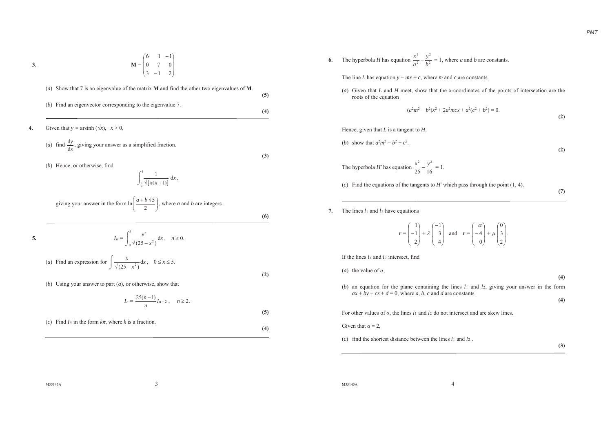$$
\mathbf{M}^{\mathbf{A}}
$$

**3.**

$$
\mathbf{M} = \begin{pmatrix} 6 & 1 & -1 \\ 0 & 7 & 0 \\ 3 & -1 & 2 \end{pmatrix}
$$

\n- (a) Show that 7 is an eigenvalue of the matrix **M** and find the other two eigenvalues of **M**.
\n- (b) Find an eigenvector corresponding to the eigenvalue 7.
\n- **4.** Given that 
$$
y = \text{arsinh } (\sqrt{x})
$$
,  $x > 0$ ,
\n- (a) find  $\frac{dy}{dt}$ , giving your answer as a simplified fraction.
\n- (b) Hence, or otherwise, find
\n- $$
\int_{-\frac{1}{4}}^4 \sqrt{[x(x+1)]} \, dx
$$
, giving your answer in the form 
$$
\ln\left(\frac{a+b\sqrt{5}}{2}\right)
$$
, where *a* and *b* are integers.
\n- **5.** 
$$
I_n = \int_0^5 \frac{x^n}{\sqrt{(25-x^2)}} \, dx
$$
,  $n \ge 0$ .
\n- (a) Find an expression for 
$$
\int \frac{x}{\sqrt{(25-x^2)}} \, dx
$$
,  $0 \le x \le 5$ .
\n- (b) Using your answer to part (a), or otherwise, show that
\n

$$
I_n = \frac{25(n-1)}{n} I_{n-2}, \quad n \ge 2.
$$

(*c*) Find  $I_4$  in the form  $k\pi$ , where *k* is a fraction.

**6.** The hyperbola *H* has equation  $\frac{x^2}{a^2} - \frac{y^2}{b^2}$  $\frac{y^2}{2} - \frac{y^2}{h^2}$ 2 *by a* $\frac{x^2}{a^2} - \frac{y^2}{b^2} = 1$ , where *a* and *b* are constants.

The line *L* has equation  $y = mx + c$ , where *m* and *c* are constants.

(*a*) Given that *L* and *H* meet, show that the *x*-coordinates of the points of intersection are the roots of the equation

$$
(a2m2 - b2)x2 + 2a2mx + a2(c2 + b2) = 0.
$$
 (2)

Hence, given that *L* is a tangent to *H*,

(b) show that 
$$
a^2m^2 = b^2 + c^2
$$
.

$$
^{(2)}
$$

*PMT*

The hyperbola *H'* has equation  $\frac{x^2}{25} - \frac{y^2}{16} = 1$ .

(c) Find the equations of the tangents to  $H'$  which pass through the point  $(1, 4)$ .

**(7)**

### **7.** The lines *l*1 and *l*<sup>2</sup> have equations

**r** =  $\begin{pmatrix} 1 \\ -1 \\ 2 \end{pmatrix} + \lambda \begin{pmatrix} -1 \\ 3 \\ 4 \end{pmatrix}$  and  $\mathbf{r} = \begin{pmatrix} \alpha \\ -4 \\ 0 \end{pmatrix} + \mu \begin{pmatrix} 0 \\ 3 \\ 2 \end{pmatrix}$ .

If the lines *l*1 and *l*2 intersect, find

(*a*) the value of  $\alpha$ ,

- (*b*) an equation for the plane containing the lines *l*<sup>1</sup> and *l*2, giving your answer in the form  $ax + by + cz + d = 0$ , where *a*, *b*, *c* and *d* are constants.
	- **(4)**

**(4)** 

For other values of  $\alpha$ , the lines  $l_1$  and  $l_2$  do not intersect and are skew lines.

Given that  $\alpha = 2$ ,

**(5)**

**(4)**

(*c*) find the shortest distance between the lines *l*<sup>1</sup> and *l*2 .

**(3)**

M35145A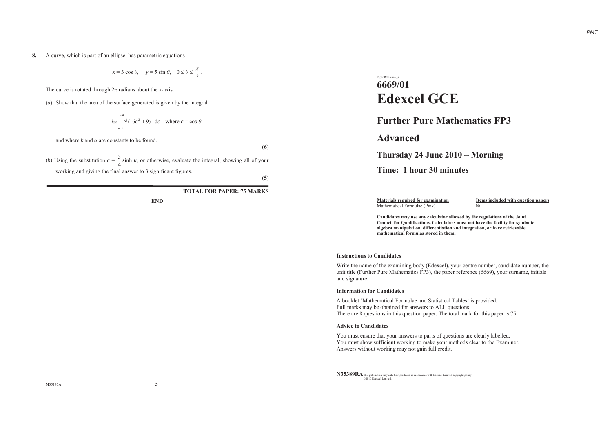**8.** A curve, which is part of an ellipse, has parametric equations

 $x = 3 \cos \theta$ ,  $y = 5 \sin \theta$ ,  $0 \le \theta \le \frac{\pi}{2}$ .

The curve is rotated through  $2\pi$  radians about the *x*-axis.

(*a*) Show that the area of the surface generated is given by the integral

$$
k\pi \int_0^a \sqrt{(16c^2 + 9)} \, dc
$$
, where  $c = \cos \theta$ ,

and where  $k$  and  $\alpha$  are constants to be found.

(*b*) Using the substitution  $c = \frac{3}{4} \sinh u$ , or otherwise, evaluate the integral, showing all of your working and giving the final answer to 3 significant figures.

**(5)**

**(6)**

**TOTAL FOR PAPER: 75 MARKS**

**END**

## Paper Reference(s) **6669/01Edexcel GCE**

## **Further Pure Mathematics FP3**

**Advanced**

## **Thursday 24 June 2010 Morning**

## **Time: 1 hour 30 minutes**

Mathematical Formulae (Pink) Nil

**Materials required for examination 11 Items included with question papers** 

**Candidates may use any calculator allowed by the regulations of the Joint Council for Qualifications. Calculators must not have the facility for symbolic algebra manipulation, differentiation and integration, or have retrievable mathematical formulas stored in them.**

### **Instructions to Candidates**

Write the name of the examining body (Edexcel), your centre number, candidate number, the unit title (Further Pure Mathematics FP3), the paper reference (6669), your surname, initials and signature.

### **Information for Candidates**

A booklet 'Mathematical Formulae and Statistical Tables' is provided. Full marks may be obtained for answers to ALL questions. There are 8 questions in this question paper. The total mark for this paper is 75.

### **Advice to Candidates**

You must ensure that your answers to parts of questions are clearly labelled. You must show sufficient working to make your methods clear to the Examiner. Answers without working may not gain full credit.

**N35389RA** This publication may only be reproduced in accordance with Edexcel Limited copyright policy. ©2010 Edexcel Limited.

M35145A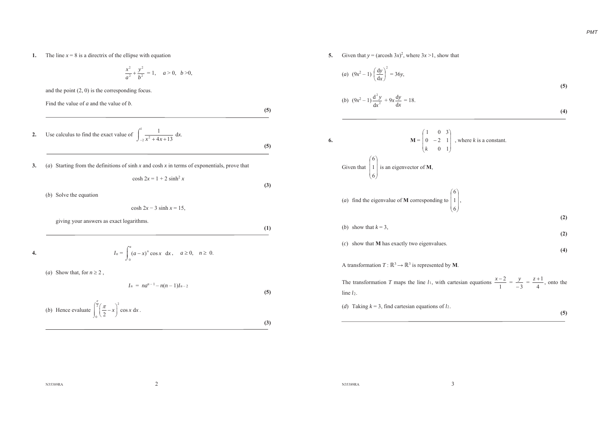**1.** The line  $x = 8$  is a directrix of the ellipse with equation

$$
\frac{x^2}{a^2} + \frac{y^2}{b^2} = 1, \quad a > 0, \quad b > 0,
$$

and the point (2, 0) is the corresponding focus.

Find the value of *a* and the value of *b*. **(5) 2.** Use calculus to find the exact value of  $\int_{-2}^{1} \frac{1}{x^2 + 4x + 13} dx$ . **(5) 3.** (*a*) Starting from the definitions of sinh *<sup>x</sup>* and cosh *<sup>x</sup>* in terms of exponentials, prove that  $\cosh 2x = 1 + 2 \sinh^2 x$ 

(*b*) Solve the equation

$$
\cosh 2x - 3 \sinh x = 15,
$$

giving your answers as exact logarithms.

$$
I_n = \int_0^a (a-x)^n \cos x \, dx, \quad a \ge 0, \quad n \ge 0.
$$

(*a*) Show that, for  $n \ge 2$ ,

**4.**

 $I_n = na^{n-1} - n(n-1)I_{n-2}$ 

(b) Hence evaluate 
$$
\int_0^{\frac{\pi}{2}} \left(\frac{\pi}{2} - x\right)^2 \cos x \, dx.
$$

$$
(\mathbf{3})
$$

**(5)**

**(3)**

**(1)**

**5.** Given that  $y = (\text{arcosh } 3x)^2$ , where  $3x > 1$ , show that

(a) 
$$
(9x^2 - 1) \left(\frac{dy}{dx}\right)^2 = 36y,
$$
  
\n(b)  $(9x^2 - 1) \frac{d^2y}{dx^2} + 9x \frac{dy}{dx} = 18.$  (4)

6. 
$$
\mathbf{M} = \begin{pmatrix} 1 & 0 & 3 \\ 0 & -2 & 1 \\ k & 0 & 1 \end{pmatrix}
$$
, where *k* is a constant.  
Given that  $\begin{pmatrix} 6 \\ 1 \\ 6 \end{pmatrix}$  is an eigenvector of **M**,  
(*a*) find the eigenvalue of **M** corresponding to  $\begin{pmatrix} 6 \\ 1 \\ 6 \end{pmatrix}$ ,

(*b*) show that  $k = 3$ ,

**(2)**  (*c*) show that **M** has exactly two eigenvalues.

A transformation  $T: \mathbb{R}^3 \to \mathbb{R}^3$  is represented by **M**.

The transformation *T* maps the line *l*<sub>1</sub>, with cartesian equations  $\frac{x-2}{1} = \frac{y}{-3} = \frac{z+1}{4}$ , onto the  $line *l*2$ .

(*d*) Taking  $k = 3$ , find cartesian equations of  $l_2$ .

$$
^{(5)}
$$

**(2)** 

**(4)** 

N35389RA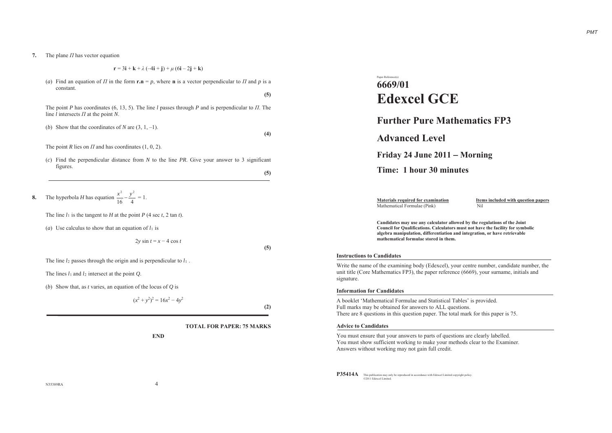**7.** The plane *II* has vector equation

(*a*) Find an equation of  $\Pi$  in the form  $\mathbf{r} \cdot \mathbf{n} = p$ , where **n** is a vector perpendicular to  $\Pi$  and  $p$  is a constant.

The point *P* has coordinates (6, 13, 5). The line *l* passes through *P* and is perpendicular to  $\Pi$ . The line *l* intersects *Ȇ*at the point *N*.

(*b*) Show that the coordinates of *N* are  $(3, 1, -1)$ .

The point *R* lies on  $\Pi$  and has coordinates (1, 0, 2).

(*c*) Find the perpendicular distance from *N* to the line *PR*. Give your answer to 3 significant figures.

**(5)**

**(5)**

**(4)**

**8.**The hyperbola *H* has equation  $\frac{x^2}{16} - \frac{y^2}{4} = 1$ .

The line *l*1 is the tangent to *H* at the point *P* (4 sec *<sup>t</sup>*, 2 tan *t*).

(*a*) Use calculus to show that an equation of  $l_1$  is

 $2y \sin t = x - 4 \cos t$ 

**(5)**

The line *l*2 passes through the origin and is perpendicular to *l*<sup>1</sup> .

The lines *l*1 and *l*<sup>2</sup> intersect at the point *Q*.

(*b*) Show that, as *<sup>t</sup>* varies, an equation of the locus of *Q* is

$$
(x^2 + y^2)^2 = 16x^2 - 4y^2
$$

**(2)**

**TOTAL FOR PAPER: 75 MARKS**

**END**

# Paper Reference(s) **6669/01Edexcel GCE**

**Further Pure Mathematics FP3**

**Advanced Level**

## **Friday 24 June 2011 Morning**

**Time: 1 hour 30 minutes** 

Mathematical Formulae (Pink) Nil

**Materials required for examination 11 Items included with question papers** 

**Candidates may use any calculator allowed by the regulations of the Joint Council for Qualifications. Calculators must not have the facility for symbolic algebra manipulation, differentiation and integration, or have retrievable mathematical formulae stored in them.**

### **Instructions to Candidates**

Write the name of the examining body (Edexcel), your centre number, candidate number, the unit title (Core Mathematics FP3), the paper reference (6669), your surname, initials and signature.

### **Information for Candidates**

A booklet 'Mathematical Formulae and Statistical Tables' is provided. Full marks may be obtained for answers to ALL questions. There are 8 questions in this question paper. The total mark for this paper is 75.

### **Advice to Candidates**

You must ensure that your answers to parts of questions are clearly labelled. You must show sufficient working to make your methods clear to the Examiner. Answers without working may not gain full credit.

**P35414A** This publication may only be reproduced in accordance with Edexcel Limited copyright policy. ©2011 Edexcel Limited.

N35389RA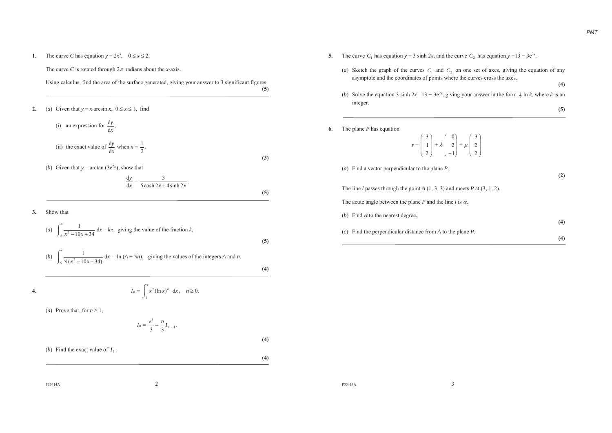**1.** The curve *C* has equation  $y = 2x^3$ ,  $0 \le x \le 2$ .

The curve *C* is rotated through  $2\pi$  radians about the *x*-axis.

Using calculus, find the area of the surface generated, giving your answer to 3 significant figures. **(5)**

**2.**(*a*) Given that  $y = x \arcsin x$ ,  $0 \le x \le 1$ , find

> (i) an expression for  $\frac{dy}{dx}$ *y* d $\frac{dy}{dx}$ , (ii) the exact value of  $\frac{dy}{dx}$ *y* d $\frac{dy}{dx}$  when  $x = \frac{1}{2}$  $\frac{1}{1}$ .

(*b*) Given that  $y = \arctan (3e^{2x})$ , show that

$$
\frac{dy}{dx} = \frac{3}{5\cosh 2x + 4\sinh 2x}.
$$

**3.**Show that

**4.**

(a) 
$$
\int_{5}^{8} \frac{1}{x^2 - 10x + 34} dx = k\pi
$$
, giving the value of the fraction *k*,  
\n(b)  $\int_{5}^{8} \frac{1}{\sqrt{x^2 - 10x + 34}} dx = \ln(A + \sqrt{n})$ , giving the values of the integers *A* and *n*.

 $x_n = \int_0^e x^2 (\ln x)^n dx$ 

(*a*) Prove that, for  $n \ge 1$ ,

*I<sub>n</sub>* 

$$
I_n = \frac{e^3}{3} - \frac{n}{3} I_{n-1}.
$$

 $\int_{1}^{e} x^{2} (\ln x)^{n} dx, \quad n \ge 0.$ 

(*b*) Find the exact value of  $I_3$ .

**(3)**

**(5)**

**(5)**

**(4)**

**(4)**

**(4)**

P35414A $\lambda$  2

- **5.** The curve  $C_1$  has equation  $y = 3 \sinh 2x$ , and the curve  $C_2$  has equation  $y = 13 3e^{2x}$ .
	- (*a*) Sketch the graph of the curves  $C_1$  and  $C_2$  on one set of axes, giving the equation of any asymptote and the coordinates of points where the curves cross the axes.

**(4)** 

- (*b*) Solve the equation 3 sinh  $2x = 13 3e^{2x}$ , giving your answer in the form  $\frac{1}{2} \ln k$ , where *k* is an integer. **(5)**
- **6.** The plane *P* has equation

**r** <sup>=</sup>  $\begin{pmatrix} 3 \\ 1 \\ 2 \end{pmatrix} + \lambda \begin{pmatrix} 0 \\ 2 \\ -1 \end{pmatrix} + \mu \begin{pmatrix} 3 \\ 2 \\ 2 \end{pmatrix}$ 

(*a*) Find a vector perpendicular to the plane *P*.

**(2)** 

The line *l* passes through the point *A* (1, 3, 3) and meets *P* at (3, 1, 2).

The acute angle between the plane *P* and the line *l* is  $\alpha$ .

| (b) Find $\alpha$ to the nearest degree.                      | (4) |
|---------------------------------------------------------------|-----|
| (c) Find the perpendicular distance from A to the plane $P$ . | (4) |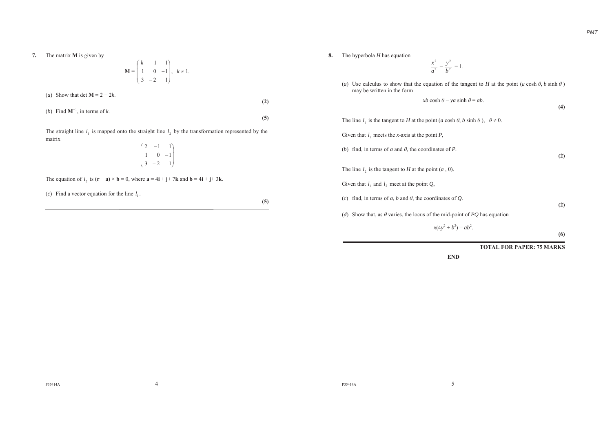**7.** The matrix **M** is given by

$$
\mathbf{M} = \begin{pmatrix} k & -1 & 1 \\ 1 & 0 & -1 \\ 3 & -2 & 1 \end{pmatrix}, k \neq 1.
$$

(*a*) Show that det  $M = 2 - 2k$ .

(*b*) Find  $M^{-1}$ , in terms of *k*.

The straight line  $l_1$  is mapped onto the straight line  $l_2$  by the transformation represented by the matrix

$$
\begin{pmatrix} 2 & -1 & 1 \ 1 & 0 & -1 \ 3 & -2 & 1 \end{pmatrix}
$$

The equation of  $l_2$  is  $(\mathbf{r} - \mathbf{a}) \times \mathbf{b} = 0$ , where  $\mathbf{a} = 4\mathbf{i} + \mathbf{j} + 7\mathbf{k}$  and  $\mathbf{b} = 4\mathbf{i} + \mathbf{j} + 3\mathbf{k}$ .

(*c*) Find a vector equation for the line  $l_1$ .

**(5)**

**(2)**

**(5)**

- **8.** The hyperbola *H* has equation
- 2 2 *a* $\frac{x}{a^2} - \frac{y}{b^2}$ 2  $\frac{y}{b^2} = 1.$
- (*a*) Use calculus to show that the equation of the tangent to *H* at the point  $(a \cosh \theta, b \sinh \theta)$ may be written in the form  $xb \cosh \theta - ya \sinh \theta = ab.$

The line  $l_1$  is the tangent to *H* at the point (*a* cosh  $\theta$ , *b* sinh  $\theta$ ),  $\theta \neq 0$ . Given that 1*l* meets the *x-*axis at the point *P*, (*b*) find, in terms of *a* and  $\theta$ , the coordinates of *P*. The line  $l_2$  is the tangent to  $H$  at the point  $(a, 0)$ . Given that  $l_1$  and  $l_2$  meet at the point  $Q$ , (*c*) find, in terms of *a*, *b* and  $\theta$ , the coordinates of *Q*.

(*d*) Show that, as  $\theta$  varies, the locus of the mid-point of *PO* has equation

 $x(4y^2 + b^2) = ab^2$ .

**(6)**

**(2)** 

**(4)** 

**(2)** 

**TOTAL FOR PAPER: 75 MARKS**

**END**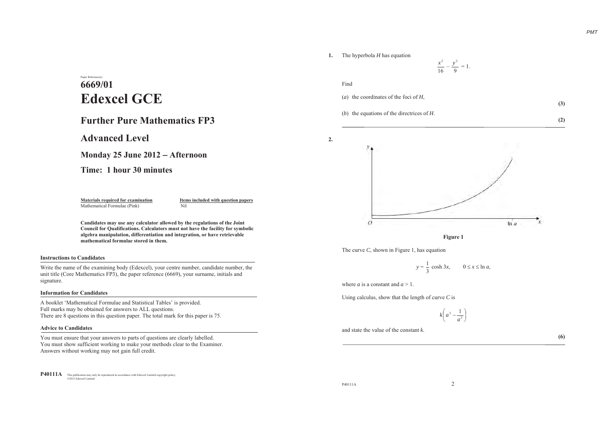### **1.** The hyperbola *H* has equation



# Paper Reference(s) **6669/01Edexcel GCE**

## **Further Pure Mathematics FP3**

**Advanced Level**

**Monday 25 June 2012 Afternoon**

**Time: 1 hour 30 minutes**

Mathematical Formulae (Pink) Nil

**Materials required for examination 11 Items included with question papers** 

**Candidates may use any calculator allowed by the regulations of the Joint Council for Qualifications. Calculators must not have the facility for symbolic algebra manipulation, differentiation and integration, or have retrievable mathematical formulae stored in them.**

### **Instructions to Candidates**

Write the name of the examining body (Edexcel), your centre number, candidate number, the unit title (Core Mathematics FP3), the paper reference (6669), your surname, initials and signature.

### **Information for Candidates**

A booklet 'Mathematical Formulae and Statistical Tables' is provided. Full marks may be obtained for answers to ALL questions. There are 8 questions in this question paper. The total mark for this paper is 75.

### **Advice to Candidates**

You must ensure that your answers to parts of questions are clearly labelled. You must show sufficient working to make your methods clear to the Examiner. Answers without working may not gain full credit.

**P40111A** This publication may only be reproduced in accordance with Edexcel Limited copyright policy. ©2012 Edexcel Limited.



**2.**

(*a*) the coordinates of the foci of *H*,

(*b*) the equations of the directrices of *H*.

**(3) (2)** 



**Figure 1**

The curve *C*, shown in Figure 1, has equation

 $y = \frac{1}{3} \cosh 3x$ ,  $0 \le x \le \ln a$ ,

where *a* is a constant and *<sup>a</sup>* <sup>&</sup>gt; 1.

Using calculus, show that the length of curve *C* is

 $k\left(a^3-\frac{1}{a^3}\right)$ 

and state the value of the constant *k*.

**(6)**

P40111A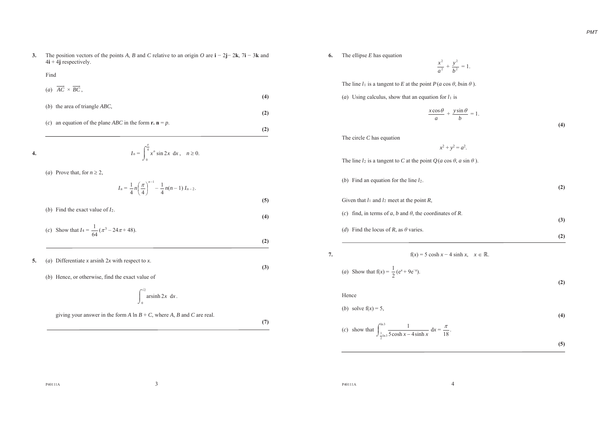**3.** The position vectors of the points A, B and C relative to an origin O are  $\mathbf{i} - 2\mathbf{j} - 2\mathbf{k}$ ,  $7\mathbf{i} - 3\mathbf{k}$  and 4**i** + 4**j** respectively.

### Find

| (a) $AC \times BC$ .                                                                 | (4) |
|--------------------------------------------------------------------------------------|-----|
| (b) the area of triangle $ABC$ ,                                                     |     |
| an equation of the plane <i>ABC</i> in the form <b>r</b> , $\mathbf{n} = p$ .<br>(c) | (2) |

4. 
$$
I_n = \int_0^{\frac{\pi}{4}} x^n \sin 2x \, dx, \quad n \ge 0.
$$

(*a*) Prove that, for  $n \ge 2$ ,

$$
I_n = \frac{1}{4} n \left( \frac{\pi}{4} \right)^{n-1} - \frac{1}{4} n(n-1) I_{n-2}.
$$

- (*b*) Find the exact value of *I*2. **(4)**
- (*c*) Show that  $I_4 = \frac{1}{64} (\pi^3 24\pi + 48)$ . **(2)**
- **5.** (*a*) Differentiate *<sup>x</sup>* arsinh 2*<sup>x</sup>* with respect to *<sup>x</sup>*.
	- (*b*) Hence, or otherwise, find the exact value of

$$
\int_0^{\sqrt{2}} \operatorname{arsinh} 2x \, dx.
$$

giving your answer in the form  $A \ln B + C$ , where  $A$ ,  $B$  and  $C$  are real.

**(7)**

**(3)**

**(5)**

**6.** The ellipse *E* has equation

The circle *C* has equation

2 2 *a* $\frac{x}{a^2} + \frac{y}{b^2}$ 2 *b* $\frac{y}{x^2} = 1$ .

The line  $l_1$  is a tangent to E at the point  $P(a \cos \theta, b \sin \theta)$ .

(*a*) Using calculus, show that an equation for  $l_1$  is

$$
\frac{x\cos\theta}{a} + \frac{y\sin\theta}{b} = 1.
$$

 $x^2 + y^2 = a^2$ .

 **(4)** 

| The line $l_2$ is a tangent to C at the point $Q(a \cos \theta, a \sin \theta)$ . |     |
|-----------------------------------------------------------------------------------|-----|
| (b) Find an equation for the line $l_2$ .                                         | (2) |
| Given that $l_1$ and $l_2$ meet at the point R,                                   |     |
| find, in terms of a, b and $\theta$ , the coordinates of R.<br>(c)                | (3) |
| (d) Find the locus of R, as $\theta$ varies.                                      |     |
|                                                                                   | (2) |

(*a*) Show that  $f(x) = \frac{1}{2} (e^x + 9e^{-x}).$ 

**7. f**(*x*) = 5 cosh *x* – 4 sinh *x*,  $x \in \mathbb{R}$ .

 **(2)** 

**(4)** 

 **(5)** 

### Hence

(b) solve 
$$
f(x) = 5
$$
,

(c) show that 
$$
\int_{\frac{1}{2} \ln 3}^{\ln 3} \frac{1}{5 \cosh x - 4 \sinh x} dx = \frac{\pi}{18}
$$
.

P40111A

P40111A $\overline{A}$  4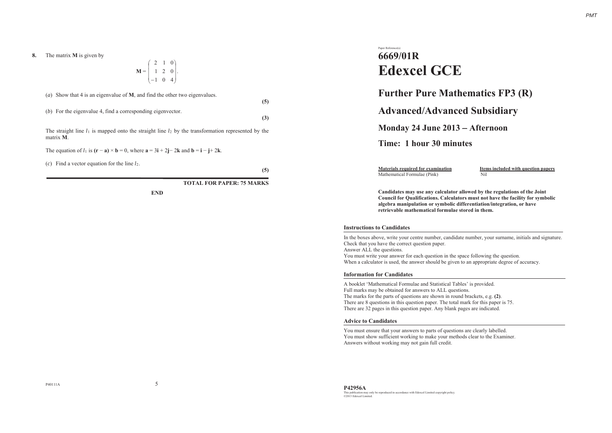$$
\mathbf{M} = \begin{pmatrix} 2 & 1 & 0 \\ 1 & 2 & 0 \\ -1 & 0 & 4 \end{pmatrix}.
$$

(*a*) Show that 4 is an eigenvalue of **M**, and find the other two eigenvalues.

(*b*) For the eigenvalue 4, find a corresponding eigenvector.

The straight line  $l_1$  is mapped onto the straight line  $l_2$  by the transformation represented by the matrix **M**.

The equation of  $l_1$  is  $(\mathbf{r} - \mathbf{a}) \times \mathbf{b} = 0$ , where  $\mathbf{a} = 3\mathbf{i} + 2\mathbf{j} - 2\mathbf{k}$  and  $\mathbf{b} = \mathbf{i} - \mathbf{j} + 2\mathbf{k}$ .

(*c*) Find a vector equation for the line *l*2.

**(5)**

**(5)**

**(3)**

**TOTAL FOR PAPER: 75 MARKS**

**END**

## Paper Reference(s) **6669/01R Edexcel GCE**

## **Further Pure Mathematics FP3 (R)**

**Advanced/Advanced Subsidiary**

**Monday 24 June 2013 Afternoon** 

**Time: 1 hour 30 minutes** 

Mathematical Formulae (Pink) Nil

**Materials required for examination Items included with question papers** 

**Candidates may use any calculator allowed by the regulations of the Joint Council for Qualifications. Calculators must not have the facility for symbolic algebra manipulation or symbolic differentiation/integration, or have retrievable mathematical formulae stored in them.**

### **Instructions to Candidates**

In the boxes above, write your centre number, candidate number, your surname, initials and signature. Check that you have the correct question paper. Answer ALL the questions.

You must write your answer for each question in the space following the question. When a calculator is used, the answer should be given to an appropriate degree of accuracy.

### **Information for Candidates**

A booklet 'Mathematical Formulae and Statistical Tables' is provided. Full marks may be obtained for answers to ALL questions. The marks for the parts of questions are shown in round brackets, e.g. **(2)**. There are 8 questions in this question paper. The total mark for this paper is 75. There are 32 pages in this question paper. Any blank pages are indicated.

### **Advice to Candidates**

You must ensure that your answers to parts of questions are clearly labelled. You must show sufficient working to make your methods clear to the Examiner. Answers without working may not gain full credit.

P40111A $\lambda$  5

**P42956A**  This publication may only be reproduced in accordance with Edexcel Limited copyright policy. ©2013 Edexcel Limited.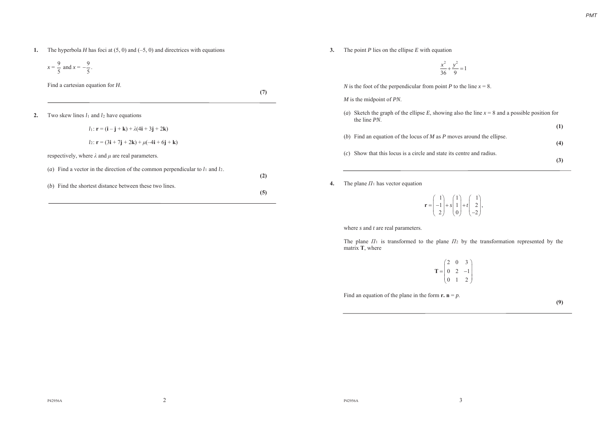**1.** The hyperbola *H* has foci at (5, 0) and (–5, 0) and directrices with equations

$$
x = \frac{9}{5}
$$
 and  $x = -\frac{9}{5}$ .

Find a cartesian equation for *H*.

**(7)**

**2.**Two skew lines *l*<sup>1</sup> and *l*<sup>2</sup> have equations

> $l_1: \mathbf{r} = (\mathbf{i} - \mathbf{j} + \mathbf{k}) + \lambda(4\mathbf{i} + 3\mathbf{j} + 2\mathbf{k})$  $l_2$ : **r** = (3**i** + 7**j** + 2**k**) +  $\mu$ (-4**i** + 6**j** + **k**) respectively, where  $\lambda$  and  $\mu$  are real parameters. (*a*) Find a vector in the direction of the common perpendicular to  $l_1$  and  $l_2$ . **(2)** (*b*) Find the shortest distance between these two lines. **(5)**

**3.** The point *P* lies on the ellipse *E* with equation

$$
\frac{x^2}{36} + \frac{y^2}{9} = 1
$$

*N* is the foot of the perpendicular from point *P* to the line  $x = 8$ .

### *M* is the midpoint of *PN*.

| (a) Sketch the graph of the ellipse E, showing also the line $x = 8$ and a possible position for<br>the line <i>PN</i> . |     |
|--------------------------------------------------------------------------------------------------------------------------|-----|
|                                                                                                                          | (1) |
| (b) Find an equation of the locus of M as P moves around the ellipse.                                                    |     |
|                                                                                                                          | (4) |
| (c) Show that this locus is a circle and state its centre and radius.                                                    | (3) |

**4.** The plane  $\Pi_1$  has vector equation

1)  $(1)$   $(1)$  $1 + s | 1 + t | 2$ 2) (0) (-2  $s \mid 1 \mid +t$  $\mathbf{r} = \begin{pmatrix} 1 \\ -1 \\ 2 \end{pmatrix} + s \begin{pmatrix} 1 \\ 1 \\ 0 \end{pmatrix} + t \begin{pmatrix} 1 \\ 2 \\ -2 \end{pmatrix},$ 

where *s* and *<sup>t</sup>* are real parameters.

The plane  $\Pi_1$  is transformed to the plane  $\Pi_2$  by the transformation represented by the matrix **T**, where

> 20 3  $0 \t2 \t-1$ 01 2  $\mathbf{T} = \begin{pmatrix} 2 & 0 & 3 \\ 0 & 2 & -1 \\ 0 & 1 & 2 \end{pmatrix}$

Find an equation of the plane in the form  $\mathbf{r} \cdot \mathbf{n} = p$ .

**(9)**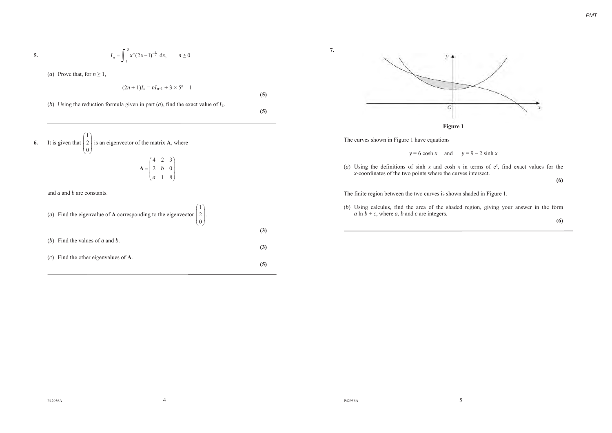$$
I_n = \int_1^5 x^n (2x-1)^{-\frac{1}{2}} dx, \qquad n \ge 0
$$

(*a*) Prove that, for  $n \ge 1$ ,

**5***.*

$$
(2n + 1)I_n = nI_{n-1} + 3 \times 5^n - 1
$$

**(5)**

**7***.*

**(5)**

(*b*) Using the reduction formula given in part (*a*), find the exact value of *I*2.

**6***.*It is given that  $|2$  $(1)$  $\mathbf{0}$  $\begin{pmatrix} 1 \\ 2 \\ 0 \end{pmatrix}$  is an eigenvector of the matrix **A**, where

$$
\mathbf{A} = \begin{pmatrix} 4 & 2 & 3 \\ 2 & b & 0 \\ a & 1 & 8 \end{pmatrix}
$$

 $\lambda$ 

and *a* and *b* are constants.

| (a) Find the eigenvalue of <b>A</b> corresponding to the eigenvector $\begin{pmatrix} 1 \\ 2 \\ 0 \end{pmatrix}$ . |     |
|--------------------------------------------------------------------------------------------------------------------|-----|
|                                                                                                                    | (3) |
| (b) Find the values of a and b.                                                                                    | (3) |
| $(c)$ Find the other eigenvalues of A.                                                                             |     |
|                                                                                                                    |     |



The curves shown in Figure 1 have equations



(*a*) Using the definitions of sinh *<sup>x</sup>* and cosh *<sup>x</sup>* in terms of e*<sup>x</sup>*, find exact values for the *<sup>x</sup>*-coordinates of the two points where the curves intersect.

**(6)** 

The finite region between the two curves is shown shaded in Figure 1.

(*b*) Using calculus, find the area of the shaded region, giving your answer in the form  $a \ln b + c$ , where  $a, b$  and  $c$  are integers.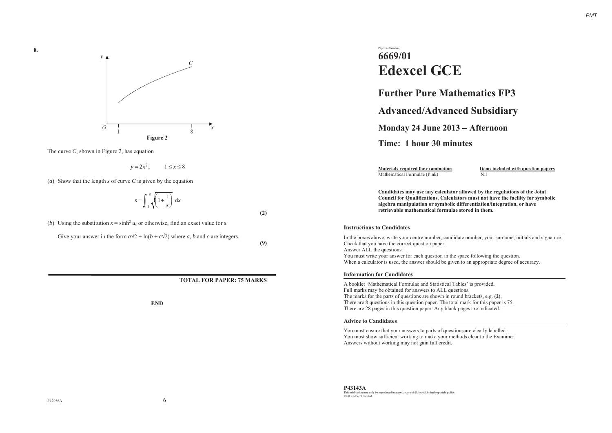

The curve *C*, shown in Figure 2, has equation

1 2 $1 \leq x \leq 8$ 

(*a*) Show that the length *<sup>s</sup>* of curve *C* is given by the equation

$$
s = \int_{1}^{8} \sqrt{1 + \frac{1}{x}} \, dx
$$

(*b*) Using the substitution  $x = \sinh^2 u$ , or otherwise, find an exact value for *s*.

Give your answer in the form  $a\sqrt{2} + \ln(b + c\sqrt{2})$  where a, b and c are integers.

**(9)**

**(2)**

### **TOTAL FOR PAPER: 75 MARKS**

**END**

## Paper Reference(s) **6669/01Edexcel GCE**

## **Further Pure Mathematics FP3**

## **Advanced/Advanced Subsidiary**

**Monday 24 June 2013 Afternoon** 

## **Time: 1 hour 30 minutes**

Mathematical Formulae (Pink) Nil

**Materials required for examination Items included with question papers** 

**Candidates may use any calculator allowed by the regulations of the Joint Council for Qualifications. Calculators must not have the facility for symbolic algebra manipulation or symbolic differentiation/integration, or have retrievable mathematical formulae stored in them.**

### **Instructions to Candidates**

In the boxes above, write your centre number, candidate number, your surname, initials and signature. Check that you have the correct question paper. Answer ALL the questions. You must write your answer for each question in the space following the question.

When a calculator is used, the answer should be given to an appropriate degree of accuracy.

### **Information for Candidates**

A booklet 'Mathematical Formulae and Statistical Tables' is provided. Full marks may be obtained for answers to ALL questions. The marks for the parts of questions are shown in round brackets, e.g. **(2)**. There are 8 questions in this question paper. The total mark for this paper is 75. There are 28 pages in this question paper. Any blank pages are indicated.

### **Advice to Candidates**

You must ensure that your answers to parts of questions are clearly labelled. You must show sufficient working to make your methods clear to the Examiner. Answers without working may not gain full credit.

**P43143A**  This publication may only be reproduced in accordance with Edexcel Limited copyright policy. ©2013 Edexcel Limited.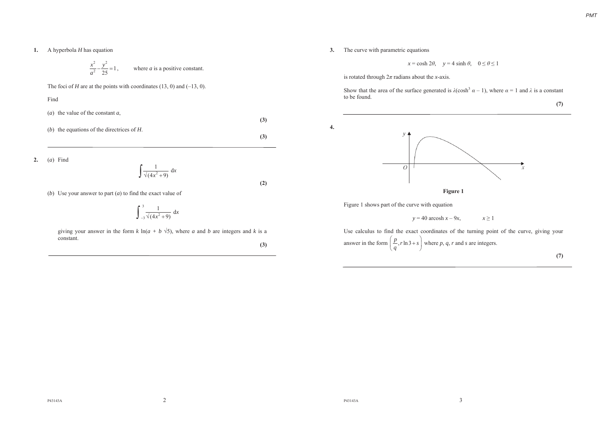**1.** A hyperbola *H* has equation

$$
\frac{x^2}{a^2} - \frac{y^2}{25} = 1
$$
, where *a* is a positive constant.

The foci of *H* are at the points with coordinates (13, 0) and (–13, 0).

Find

(*a*) the value of the constant *<sup>a</sup>*,

(*b*) the equations of the directrices of *H*.

**2.**(*a*) Find

$$
\int \frac{1}{\sqrt{4x^2+9}} \, \mathrm{d}x
$$

(*b*) Use your answer to part (*a*) to find the exact value of

$$
\int_{-3}^{3} \frac{1}{\sqrt{4x^2 + 9}} \, \mathrm{d}x
$$

giving your answer in the form  $k \ln(a + b \sqrt{5})$ , where *a* and *b* are integers and *k* is a constant.

**(3)**

**(3)**

**(3)**

**(2)**

**3.** The curve with parametric equations

**4.**

 $x = \cosh 2\theta$ ,  $y = 4 \sinh \theta$ ,  $0 \le \theta \le 1$ 

is rotated through  $2\pi$  radians about the *x*-axis.

Show that the area of the surface generated is  $\lambda$ (cosh<sup>3</sup>  $\alpha$  – 1), where  $\alpha$  = 1 and  $\lambda$  is a constant to be found. **(7)** 



Figure 1 shows part of the curve with equation

 $y = 40$  arcosh  $x - 9x$ ,  $x \ge 1$ 

Use calculus to find the exact coordinates of the turning point of the curve, giving your answer in the form  $\left(\frac{p}{q}, r \ln 3 + s\right)$  where *p*, *q*, *r* and *s* are integers. **(7)**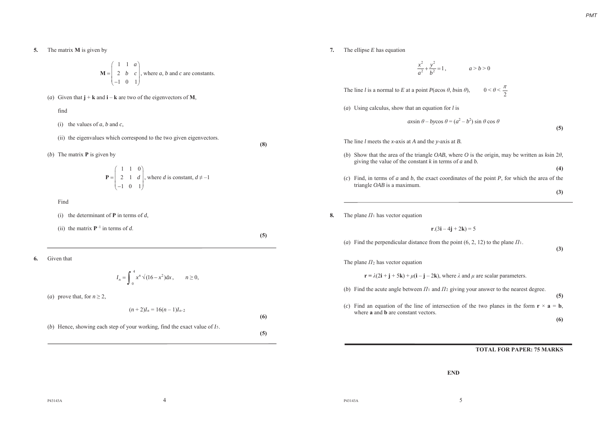**5***.*The matrix **M** is given by

$$
\mathbf{M} = \begin{pmatrix} 1 & 1 & a \\ 2 & b & c \\ -1 & 0 & 1 \end{pmatrix}
$$
, where *a*, *b* and *c* are constants.

(*a*) Given that  $\mathbf{i} + \mathbf{k}$  and  $\mathbf{i} - \mathbf{k}$  are two of the eigenvectors of **M**.

find

(i) the values of  $a$ ,  $b$  and  $c$ ,

(ii) the eigenvalues which correspond to the two given eigenvectors.

(*b*) The matrix **P** is given by

$$
\mathbf{P} = \begin{pmatrix} 1 & 1 & 0 \\ 2 & 1 & d \\ -1 & 0 & 1 \end{pmatrix}
$$
, where *d* is constant,  $d \neq -1$ 

Find

(i) the determinant of **P** in terms of *d*,

(ii) the matrix  $P^{-1}$  in terms of *d*.

**(5)**

**(8)**

**6***.*Given that

$$
I_n = \int_0^4 x^n \sqrt{(16 - x^2)} dx, \qquad n \ge 0,
$$

(*a*) prove that, for  $n \ge 2$ ,

$$
(n+2)I_n = 16(n-1)I_{n-2}
$$
\n(6)  
\nHence, showing each step of your working, find the exact value of *I*<sub>5</sub>.

7. The ellipse 
$$
E
$$
 has equation

$$
\frac{x^2}{a^2} + \frac{y^2}{b^2} = 1, \qquad a > b > 0
$$

The line *l* is a normal to *E* at a point  $P(a\cos\theta, b\sin\theta)$ ,  $0 < \theta < \frac{\pi}{2}$ 

(*a*) Using calculus, show that an equation for *l* is

 $a$ *xsin*  $\theta$  – *bycos*  $\theta$  =  $(a^2 - b^2)$  sin  $\theta$  cos  $\theta$ 

**(5)** 

The line *l* meets the *x-*axis at *A* and the *y*-axis at *B.*

- (*b*) Show that the area of the triangle *OAB*, where *O* is the origin, may be written as  $k\sin 2\theta$ , giving the value of the constant *k* in terms of *<sup>a</sup>* and *b.*
- (*c*) Find, in terms of *<sup>a</sup>* and *b*, the exact coordinates of the point *P*, for which the area of the triangle *OAB* is a maximum.

**(3)** 

**(4)**

**8***.*The plane  $\Pi_1$  has vector equation

 $r.(3i - 4i + 2k) = 5$ 

(*a*) Find the perpendicular distance from the point  $(6, 2, 12)$  to the plane  $\Pi_1$ .

**(3)** 

The plane  $\Pi_2$  has vector equation

 $\mathbf{r} = \lambda(2\mathbf{i} + \mathbf{j} + 5\mathbf{k}) + \mu(\mathbf{i} - \mathbf{j} - 2\mathbf{k})$ , where  $\lambda$  and  $\mu$  are scalar parameters.

(*b*) Find the acute angle between  $\Pi_1$  and  $\Pi_2$  giving your answer to the nearest degree.

**(5)** (*c*) Find an equation of the line of intersection of the two planes in the form  $\mathbf{r} \times \mathbf{a} = \mathbf{b}$ , where **a** and **b** are constant vectors.

**(6)** 

### **TOTAL FOR PAPER: 75 MARKS**

**END**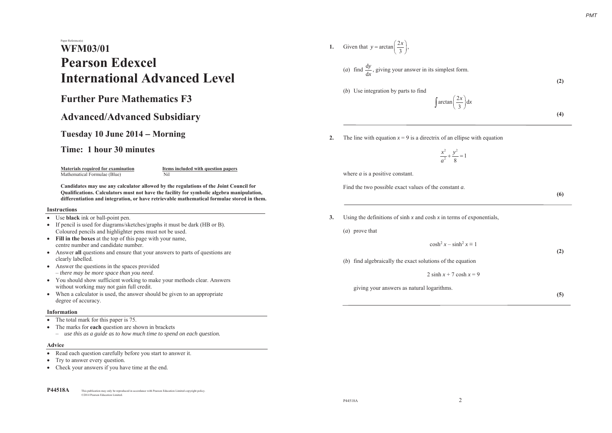# Paper Reference(s) **WFM03/01Pearson Edexcel International Advanced Level**

## **Further Pure Mathematics F3**

## **Advanced/Advanced Subsidiary**

## **Tuesday 10 June 2014 Morning**

### **Time: 1 hour 30 minutes**

Mathematical Formulae (Blue) Nil

**Materials required for examination Items included with question papers** 

**Candidates may use any calculator allowed by the regulations of the Joint Council for Qualifications. Calculators must not have the facility for symbolic algebra manipulation, differentiation and integration, or have retrievable mathematical formulae stored in them.**

### **Instructions**

- Use **black** ink or ball-point pen.
- If pencil is used for diagrams/sketches/graphs it must be dark (HB or B). Coloured pencils and highlighter pens must not be used.
- **Fill in the boxes** at the top of this page with your name, centre number and candidate number.
- Answer **all** questions and ensure that your answers to parts of questions are clearly labelled.
- $\bullet$  Answer the questions in the spaces provided – *there may be more space than you need*.
- You should show sufficient working to make your methods clear. Answers without working may not gain full credit.
- When a calculator is used, the answer should be given to an appropriate degree of accuracy.

### **Information**

- The total mark for this paper is 75.
- The marks for **each** question are shown in brackets
	- *use this as a guide as to how much time to spend on each question.*

### **Advice**

- $\bullet$ Read each question carefully before you start to answer it.
- Try to answer every question.
- Check your answers if you have time at the end.

**P44518A** This publication may only be reproduced in accordance with Pearson Education Limited copyright policy. ©2014 Pearson Education Limited.

1. Given that 
$$
y = \arctan\left(\frac{2x}{3}\right)
$$
,

(a) find 
$$
\frac{dy}{dx}
$$
, giving your answer in its simplest form.

(*b*) Use integration by parts to find

 $\arctan\left(\frac{2x}{3}\right)d$  $\int \arctan\left(\frac{2x}{3}\right) dx$ 

**2.** The line with equation  $x = 9$  is a directrix of an ellipse with equation

$$
\frac{x^2}{a^2} + \frac{y^2}{8} = 1
$$

where *a* is a positive constant.

Find the two possible exact values of the constant *<sup>a</sup>*.

**(6)**

**(2)** 

**(4)**

**3.** Using the definitions of sinh *<sup>x</sup>* and cosh *<sup>x</sup>* in terms of exponentials,

(*a*) prove that

 $\cosh^2 x - \sinh^2 x \equiv 1$ 

**(2)** 

(*b*) find algebraically the exact solutions of the equation

2 sinh  $x + 7 \cosh x = 9$ 

giving your answers as natural logarithms.

**(5)**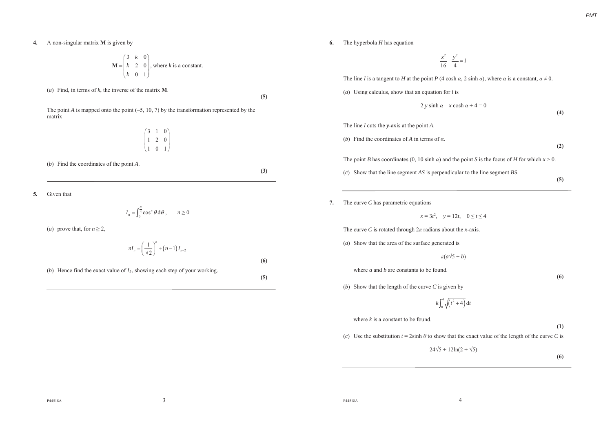**4.** A non-singular matrix **M** is given by

$$
\mathbf{M} = \begin{pmatrix} 3 & k & 0 \\ k & 2 & 0 \\ k & 0 & 1 \end{pmatrix}
$$
, where *k* is a constant.

(*a*) Find, in terms of *k*, the inverse of the matrix **M**.

**(5)**

The point  $A$  is mapped onto the point  $(-5, 10, 7)$  by the transformation represented by the matrix

$$
\begin{pmatrix} 3 & 1 & 0 \\ 1 & 2 & 0 \\ 1 & 0 & 1 \end{pmatrix}
$$

(*b*) Find the coordinates of the point *A*.

**(3)**

**5***.*Given that

$$
I_n = \int_0^{\frac{\pi}{4}} \cos^n \theta \, d\theta, \qquad n \ge 0
$$

(*a*) prove that, for  $n \ge 2$ ,

$$
nI_n = \left(\frac{1}{\sqrt{2}}\right)^n + (n-1)I_{n-2}
$$

(*b*) Hence find the exact value of *I*5, showing each step of your working.

**(5)**

**(6)**

**6.** The hyperbola *H* has equation

$$
\frac{x^2}{16} - \frac{y^2}{4} = 1
$$

The line *l* is a tangent to *H* at the point *P* (4 cosh  $\alpha$ , 2 sinh  $\alpha$ ), where  $\alpha$  is a constant,  $\alpha \neq 0$ .

(*a*) Using calculus, show that an equation for *l* is

$$
2 y \sinh \alpha - x \cosh \alpha + 4 = 0
$$

The line *l* cuts the *y*-axis at the point *A*.

(*b*) Find the coordinates of *A* in terms of  $\alpha$ .

**(2)**

**(4)** 

The point *B* has coordinates (0, 10 sinh  $\alpha$ ) and the point *S* is the focus of *H* for which  $x > 0$ .

- (*c*) Show that the line segment *AS* is perpendicular to the line segment *BS*.
- **(5)**

#### **7.**The curve *C* has parametric equations

 $x = 3t^2$ ,  $y = 12t$ ,  $0 \le t \le 4$ 

The curve *C* is rotated through  $2\pi$  radians about the *x*-axis.

(*a*) Show that the area of the surface generated is

$$
\pi(a\sqrt{5} + b)
$$

where *a* and *b* are constants to be found.

**(6)** 

(*b*) Show that the length of the curve *C* is given by

$$
k\int_0^4 \sqrt{\left(t^2+4\right)}\,\mathrm{d}t
$$

where *k* is a constant to be found.

**(1)**

**(6)**

(*c*) Use the substitution  $t = 2\sinh \theta$  to show that the exact value of the length of the curve *C* is

 $24\sqrt{5} + 12\ln(2 + \sqrt{5})$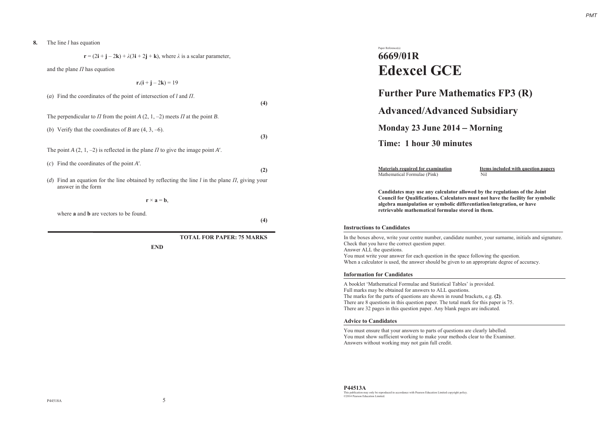#### **8.**The line *l* has equation

**r** =  $(2\mathbf{i} + \mathbf{j} - 2\mathbf{k}) + \lambda(3\mathbf{i} + 2\mathbf{j} + \mathbf{k})$ , where  $\lambda$  is a scalar parameter,

and the plane  $\Pi$  has equation

 $r.(i + j - 2k) = 19$ 

|                                               | (a) Find the coordinates of the point of intersection of l and $\Pi$ .                                                     | (4) |
|-----------------------------------------------|----------------------------------------------------------------------------------------------------------------------------|-----|
|                                               | The perpendicular to $\Pi$ from the point A (2, 1, -2) meets $\Pi$ at the point B.                                         |     |
|                                               | (b) Verify that the coordinates of B are $(4, 3, -6)$ .                                                                    | (3) |
|                                               | The point A $(2, 1, -2)$ is reflected in the plane $\Pi$ to give the image point A'.                                       |     |
|                                               | $(c)$ Find the coordinates of the point A'.                                                                                | (2) |
|                                               | (d) Find an equation for the line obtained by reflecting the line l in the plane $\Pi$ , giving your<br>answer in the form |     |
| $\mathbf{r} \times \mathbf{a} = \mathbf{b}$ . |                                                                                                                            |     |

where **a** and **b** are vectors to be found.

**(4)**

### **TOTAL FOR PAPER: 75 MARKS**

**END**

## Paper Reference(s) **6669/01R Edexcel GCE**

## **Further Pure Mathematics FP3 (R)**

**Advanced/Advanced Subsidiary**

**Monday 23 June 2014 Morning** 

## **Time: 1 hour 30 minutes**

Mathematical Formulae (Pink) Nil

**Materials required for examination Items included with question papers** 

**Candidates may use any calculator allowed by the regulations of the Joint Council for Qualifications. Calculators must not have the facility for symbolic algebra manipulation or symbolic differentiation/integration, or have retrievable mathematical formulae stored in them.**

### **Instructions to Candidates**

In the boxes above, write your centre number, candidate number, your surname, initials and signature. Check that you have the correct question paper. Answer ALL the questions. You must write your answer for each question in the space following the question. When a calculator is used, the answer should be given to an appropriate degree of accuracy.

### **Information for Candidates**

A booklet 'Mathematical Formulae and Statistical Tables' is provided. Full marks may be obtained for answers to ALL questions. The marks for the parts of questions are shown in round brackets, e.g. **(2)**. There are 8 questions in this question paper. The total mark for this paper is 75. There are 32 pages in this question paper. Any blank pages are indicated.

### **Advice to Candidates**

You must ensure that your answers to parts of questions are clearly labelled. You must show sufficient working to make your methods clear to the Examiner. Answers without working may not gain full credit.

**P44513A** This publication may only be reproduced in accordance with Pearson Education Limited copyright policy. ©2014 Pearson Education Limited.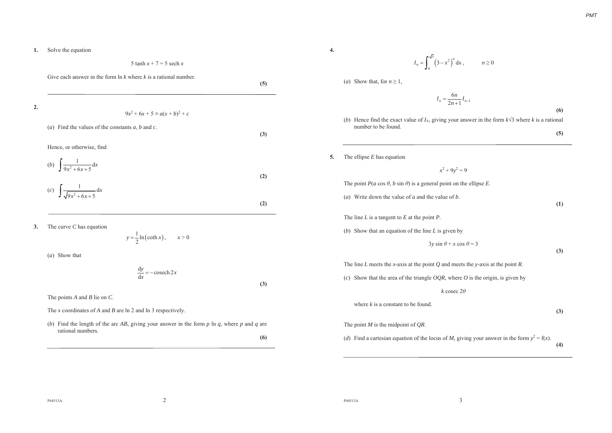#### **1.**Solve the equation

5 tanh *x* + 7 = 5 sech *<sup>x</sup>*

Give each answer in the form ln *k* where *k* is a rational number.

2. 
$$
9x^{2} + 6x + 5 = a(x + b)^{2} + c
$$
  
\n(a) Find the values of the constants *a*, *b* and *c*.  
\nHence, or otherwise, find  
\n(b) 
$$
\int \frac{1}{9x^{2} + 6x + 5} dx
$$
  
\n(c) 
$$
\int \frac{1}{\sqrt{9x^{2} + 6x + 5}} dx
$$
  
\n(2)

**3.**The curve *C* has equation

$$
y = \frac{1}{2} \ln(\coth x), \qquad x > 0
$$

(*a*) Show that

$$
\frac{\mathrm{d}y}{\mathrm{d}x} = -\operatorname{cosech} 2x
$$

The points *A* and *B* lie on *C*.

The *x* coordinates of *A* and *B* are ln 2 and ln 3 respectively.

(*b*) Find the length of the arc *AB*, giving your answer in the form *p* ln *q*, where *p* and *q* are rational numbers.

**(6)**

**(3)**

**4.**

**5***.*

$$
I_n = \int_0^{\sqrt{3}} \left(3 - x^2\right)^n dx, \qquad n \ge 0
$$

(*a*) Show that, for  $n \geq 1$ ,

$$
I_n = \frac{6n}{2n+1} I_{n-1}
$$

**(6)** 

**(4)** 

(*b*) Hence find the exact value of  $I_4$ , giving your answer in the form  $k\sqrt{3}$  where *k* is a rational number to be found. **(5)**

 $x^2 + 9y^2 = 9$ 

The ellipse *E* has equation

The point 
$$
P(a \cos \theta, b \sin \theta)
$$
 is a general point on the ellipse E.  
\n(a) Write down the value of a and the value of b.  
\n  
\n(1) The line L is a tangent to E at the point P.  
\n(b) Show that an equation of the line L is given by  
\n $3y \sin \theta + x \cos \theta = 3$   
\n(3) The line L meets the x-axis at the point Q and meets the y-axis at the point R.  
\n(c) Show that the area of the triangle OQR, where O is the origin, is given by  
\n $k \csc 2\theta$   
\nwhere k is a constant to be found.  
\n(3) The point M is the midpoint of QR.

(*d*) Find a cartesian equation of the locus of *M*, giving your answer in the form  $y^2 = f(x)$ .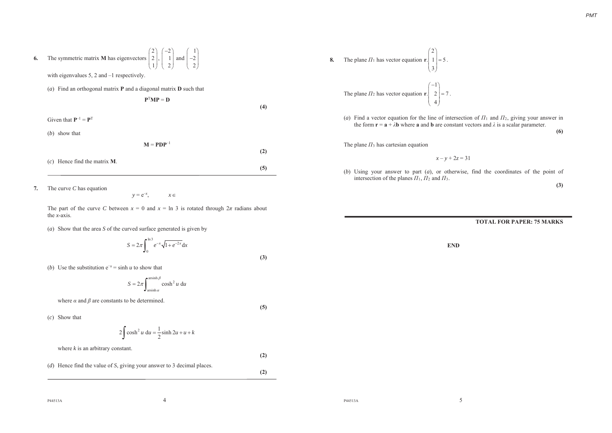| 6. | The symmetric matrix <b>M</b> has eigenvectors $\begin{pmatrix} 2 \\ 2 \\ 1 \end{pmatrix}, \begin{pmatrix} -2 \\ 1 \\ 2 \end{pmatrix}$ and $\begin{pmatrix} 1 \\ -2 \\ 2 \end{pmatrix}$ |     |
|----|-----------------------------------------------------------------------------------------------------------------------------------------------------------------------------------------|-----|
|    | with eigenvalues $5$ , $2$ and $-1$ respectively.                                                                                                                                       |     |
|    | (a) Find an orthogonal matrix <b>P</b> and a diagonal matrix <b>D</b> such that                                                                                                         |     |
|    | $P^TMP = D$                                                                                                                                                                             |     |
|    |                                                                                                                                                                                         | (4) |
|    | Given that $P^{-1} = P^{T}$                                                                                                                                                             |     |
|    | $(b)$ show that                                                                                                                                                                         |     |
|    | $M = PDP^{-1}$                                                                                                                                                                          |     |
|    |                                                                                                                                                                                         | (2) |
|    | $(c)$ Hence find the matrix <b>M</b> .                                                                                                                                                  |     |
|    |                                                                                                                                                                                         | (5) |

**7***.*The curve *C* has equation

 $y = e^{-x}$  $x \in$ 

The part of the curve *C* between  $x = 0$  and  $x = \ln 3$  is rotated through  $2\pi$  radians about the *x*-axis.

(*a*) Show that the area *S* of the curved surface generated is given by

$$
S = 2\pi \int_0^{\ln 3} e^{-x} \sqrt{1 + e^{-2x}} dx
$$

**(3)**

**(5)**

**(2)**

**(2)**

(*b*) Use the substitution  $e^{-x} = \sinh u$  to show that

$$
S = 2\pi \int_{\arcsin\alpha}^{\operatorname{arsinh}\beta} \cosh^2 u \, \mathrm{d}u
$$

where  $\alpha$  and  $\beta$  are constants to be determined.

(*c*) Show that

$$
2\int \cosh^2 u \, \mathrm{d}u = \frac{1}{2}\sinh 2u + u + k
$$

where *k* is an arbitrary constant.

(*d*) Hence find the value of *S*, giving your answer to 3 decimal places.

8. The plane 
$$
\Pi_1
$$
 has vector equation  $\mathbf{r} \cdot \begin{pmatrix} 2 \\ 1 \\ 3 \end{pmatrix} = 5$ .  
The plane  $\Pi_2$  has vector equation  $\mathbf{r} \cdot \begin{pmatrix} -1 \\ 2 \\ 4 \end{pmatrix} = 7$ .

(*a*) Find a vector equation for the line of intersection of  $\Pi_1$  and  $\Pi_2$ , giving your answer in the form  $\mathbf{r} = \mathbf{a} + \lambda \mathbf{b}$  where **a** and **b** are constant vectors and  $\lambda$  is a scalar parameter.

**(6)** 

The plane  $\pi_3$  has cartesian equation

*x* – *y* + 2*<sup>z</sup>* = 31

(*b*) Using your answer to part (*a*), or otherwise, find the coordinates of the point of intersection of the planes  $\Pi_1$ ,  $\Pi_2$  and  $\Pi_3$ .

**(3)** 

### **TOTAL FOR PAPER: 75 MARKS**

**END**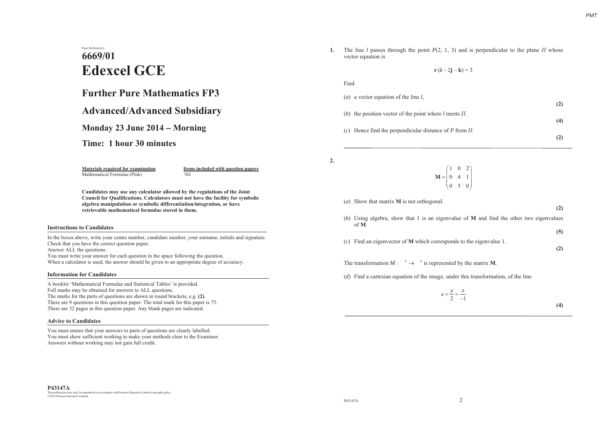# Paper Reference(s) **6669/01Edexcel GCE**

## **Further Pure Mathematics FP3**

## **Advanced/Advanced Subsidiary**

**Monday 23 June 2014 Morning**

**Time: 1 hour 30 minutes**

Mathematical Formulae (Pink) Nil

**Materials required for examination Items included with question papers** 

**Candidates may use any calculator allowed by the regulations of the Joint Council for Qualifications. Calculators must not have the facility for symbolic algebra manipulation or symbolic differentiation/integration, or have retrievable mathematical formulae stored in them.**

### **Instructions to Candidates**

In the boxes above, write your centre number, candidate number, your surname, initials and signature. Check that you have the correct question paper.

Answer ALL the questions.

You must write your answer for each question in the space following the question. When a calculator is used, the answer should be given to an appropriate degree of accuracy.

### **Information for Candidates**

A booklet 'Mathematical Formulae and Statistical Tables' is provided. Full marks may be obtained for answers to ALL questions. The marks for the parts of questions are shown in round brackets, e.g. **(2)**. There are 9 questions in this question paper. The total mark for this paper is 75. There are 32 pages in this question paper. Any blank pages are indicated.

### **Advice to Candidates**

You must ensure that your answers to parts of questions are clearly labelled. You must show sufficient working to make your methods clear to the Examiner. Answers without working may not gain full credit.

**1.** The line *l* passes through the point  $P(2, 1, 3)$  and is perpendicular to the plane *II* whose vector equation is

 $r.(i - 2i - k) = 3$ 

| Find                                                         |     |
|--------------------------------------------------------------|-----|
| ( <i>a</i> ) a vector equation of the line $l$ ,             | (2) |
| (b) the position vector of the point where $l$ meets $\Pi$ . | (4) |
| (c) Hence find the perpendicular distance of P from $\Pi$ .  |     |
|                                                              |     |

**2.**

 $\begin{pmatrix} 1 & 0 & 2 \\ 0 & 4 & 1 \end{pmatrix}$  $\mathbf{M} = \begin{bmatrix} 0 & 4 & 1 \\ 0 & 5 & 0 \end{bmatrix}$ 

(*a*) Show that matrix **M** is not orthogonal.

- **(2)**  (*b*) Using algebra, show that 1 is an eigenvalue of **M** and find the other two eigenvalues
- of **M**.**(5)**
- (*c*) Find an eigenvector of **M** which corresponds to the eigenvalue 1.

**(2)** 

The transformation  $M: \longrightarrow^3 \longrightarrow^3$  is represented by the matrix **M**.

(*d*) Find a cartesian equation of the image, under this transformation, of the line

$$
x = \frac{y}{2} = \frac{z}{-1}
$$

**(4)**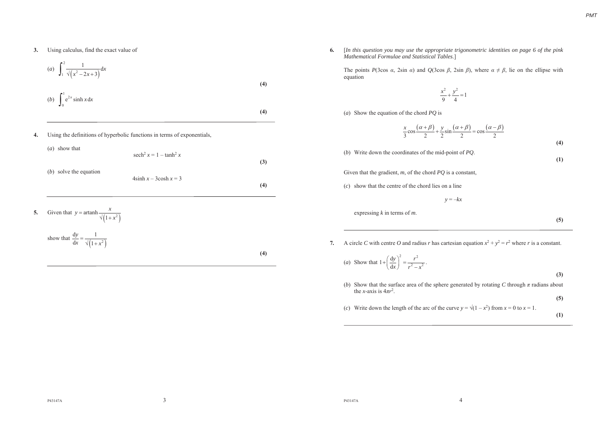**3.**Using calculus, find the exact value of

(a) 
$$
\int_{1}^{2} \frac{1}{\sqrt{x^2 - 2x + 3}} dx
$$
  
\n(b) 
$$
\int_{0}^{1} e^{2x} \sinh x dx
$$
  
\n(4)  
\nUsing the definitions of hyperbolic functions in terms of exponentials,  
\n(a) show that

$$
\operatorname{sech}^{2} x = 1 - \tanh^{2} x
$$
  
(*b*) solve the equation  

$$
4 \sinh x - 3 \cosh x = 3
$$

**5***.*Given that  $y = \operatorname{artanh} \frac{x}{\sqrt{1 + x^2}}$ 

**4.**

show that 
$$
\frac{dy}{dx} = \frac{1}{\sqrt{1 + x^2}}
$$

**(4)**

**(3)**

**(4)**

**6***.* [*In this question you may use the appropriate trigonometric identities on page 6 of the pink Mathematical Formulae and Statistical Tables*.]

The points *P*(3cos  $\alpha$ , 2sin  $\alpha$ ) and *Q*(3cos  $\beta$ , 2sin  $\beta$ ), where  $\alpha \neq \beta$ , lie on the ellipse with equation

$$
\frac{x^2}{9} + \frac{y^2}{4} = 1
$$

(*a*) Show the equation of the chord *PQ* is

$$
\frac{x}{3}\cos\frac{(\alpha+\beta)}{2} + \frac{y}{2}\sin\frac{(\alpha+\beta)}{2} = \cos\frac{(\alpha-\beta)}{2}
$$
\n(4)

(*b*) Write down the coordinates of the mid-point of *PQ*.

Given that the gradient, *<sup>m</sup>*, of the chord *PQ* is a constant,

(*c*) show that the centre of the chord lies on a line

 $y = -kx$ 

expressing *k* in terms of *<sup>m</sup>*.

**(5)** 

**(1)**

*PMT*

**7.** A circle C with centre O and radius r has cartesian equation  $x^2 + y^2 = r^2$  where r is a constant.

(a) Show that 
$$
1 + \left(\frac{dy}{dx}\right)^2 = \frac{r^2}{r^2 - x^2}
$$
.

**(3)** 

(*b*) Show that the surface area of the sphere generated by rotating *C* through  $\pi$  radians about the *x*-axis is  $4\pi r^2$ .

**(5)**

(*c*) Write down the length of the arc of the curve  $y = \sqrt{(1 - x^2)}$  from  $x = 0$  to  $x = 1$ .

**(1)**